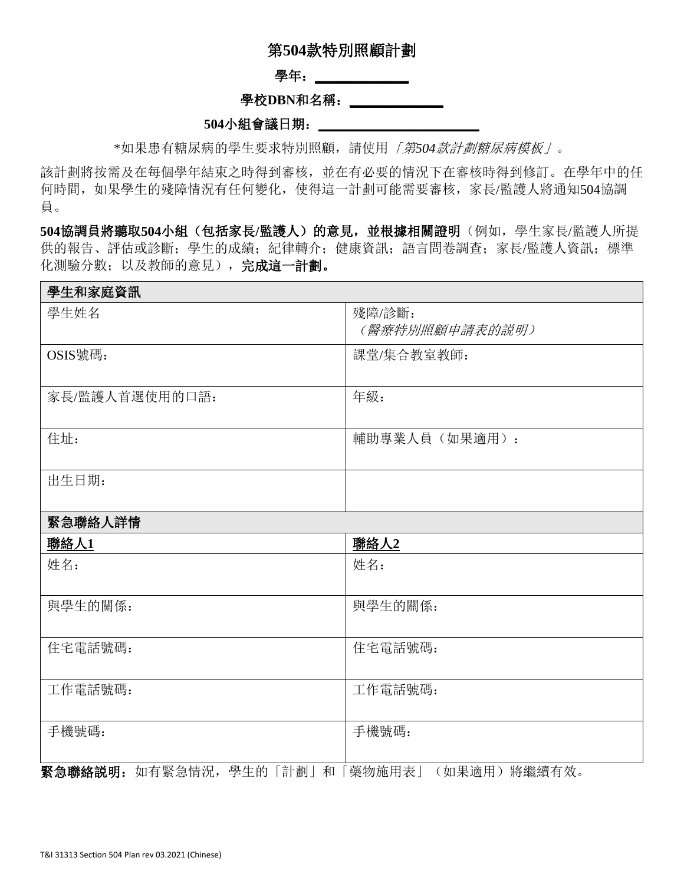# 第**504**款特別照顧計劃

#### 學年: \_\_\_\_\_\_\_\_\_\_\_\_

### 學校DBN和名稱: \_\_\_\_\_\_\_\_\_\_\_\_\_\_

#### **504**小組會議日期:**\_\_\_\_\_\_\_\_\_\_\_\_\_\_\_\_\_\_\_\_\_\_\_\_**

\*如果患有糖尿病的學生要求特別照顧,請使用「第*504*款計劃糖尿病模板」。

該計劃將按需及在每個學年結束之時得到審核,並在有必要的情況下在審核時得到修訂。在學年中的任 何時間,如果學生的殘障情況有任何變化,使得這一計劃可能需要審核,家長/監護人將通知504協調 員。

504協調員將聽取504小組(包括家長/監護人)的意見,並根據相關證明(例如,學生家長/監護人所提 供的報告、評估或診斷;學生的成績;紀律轉介;健康資訊;語言問卷調査;家長/監護人資訊;標準 化測驗分數;以及教師的意見),完成這一計劃。

#### 學生和家庭資訊

| 學生姓名           | 殘障/診斷:<br>(醫療特別照顧申請表的説明) |
|----------------|--------------------------|
| OSIS號碼:        | 課堂/集合教室教師:               |
| 家長/監護人首選使用的口語: | 年級:                      |
| 住址:            | 輔助專業人員(如果適用):            |
| 出生日期:          |                          |

### 緊急聯絡人詳情

| <u>聯絡人1</u>                                | <u> 聯絡人2</u>                       |
|--------------------------------------------|------------------------------------|
| 姓名:                                        | 姓名:                                |
|                                            |                                    |
| 與學生的關係:                                    | 與學生的關係:                            |
|                                            |                                    |
| 住宅電話號碼:                                    | 住宅電話號碼:                            |
|                                            |                                    |
| 工作電話號碼:                                    | 工作電話號碼:                            |
|                                            |                                    |
| 手機號碼:                                      | 手機號碼:                              |
|                                            |                                    |
| HEX 44 THA 46 40 HH<br>五元 七 取 <i>户</i> 桂 江 | 山夕 483: 4畫 一七一 六左<br>/ 4m 田 1立 田 ヽ |

**緊急聯絡説明:** 如有緊急情況,學生的「計劃」和「樂物施用表」(如果適用)將繼續有效。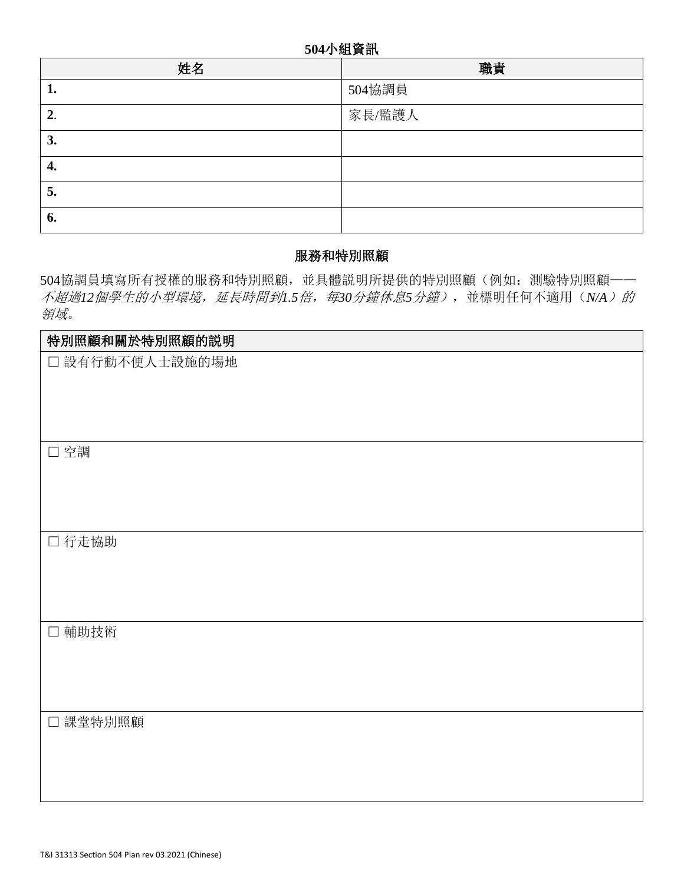## **504**小組資訊

| 姓名 | 職責     |
|----|--------|
| ı. | 504協調員 |
| 2. | 家長/監護人 |
| 3. |        |
| 4. |        |
| 5. |        |
| 6. |        |

# 服務和特別照顧

504協調員填寫所有授權的服務和特別照顧,並具體説明所提供的特別照顧(例如:測驗特別照顧—— 不超過*12*個學生的小型環境,延長時間到*1.5*倍,每*30*分鐘休息*5*分鐘),並標明任何不適用(*N/A*)的 領域。

| 特別照顧和關於特別照顧的説明  |
|-----------------|
| □ 設有行動不便人士設施的場地 |
|                 |
|                 |
|                 |
| □空調             |
|                 |
|                 |
|                 |
| 口行走協助           |
|                 |
|                 |
|                 |
| □ 輔助技術          |
|                 |
|                 |
|                 |
| □ 課堂特別照顧        |
|                 |
|                 |
|                 |
|                 |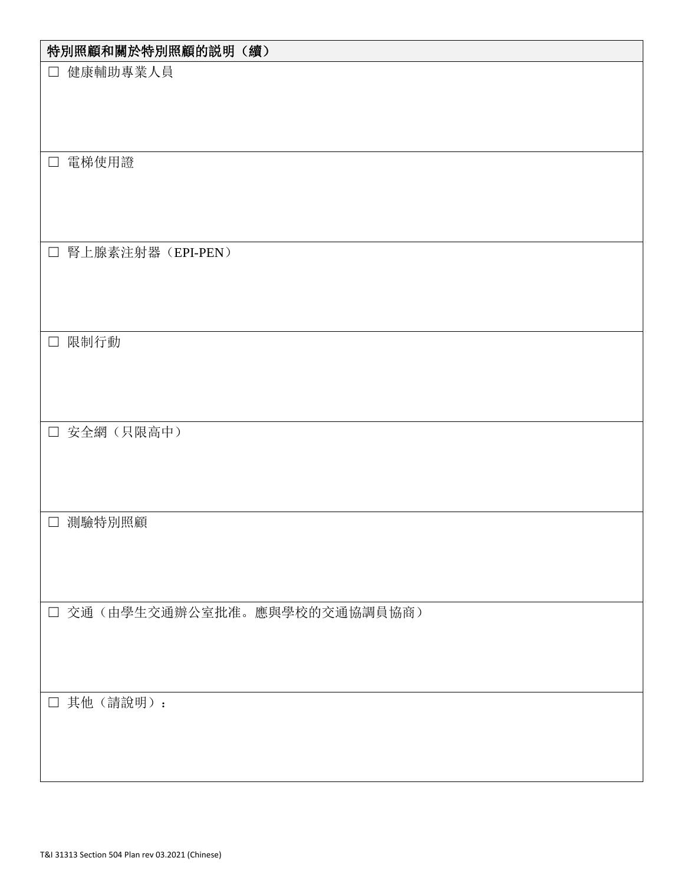| 特別照顧和關於特別照顧的説明(續)                     |
|---------------------------------------|
| 健康輔助專業人員<br>$\Box$                    |
|                                       |
|                                       |
|                                       |
| 電梯使用證<br>$\Box$                       |
|                                       |
|                                       |
| 腎上腺素注射器(EPI-PEN)<br>$\Box$            |
|                                       |
|                                       |
|                                       |
| 限制行動<br>$\Box$                        |
|                                       |
|                                       |
| □ 安全網 (只限高中)                          |
|                                       |
|                                       |
|                                       |
| 測驗特別照顧<br>$\Box$                      |
|                                       |
|                                       |
| 交通(由學生交通辦公室批准。應與學校的交通協調員協商)<br>$\Box$ |
|                                       |
|                                       |
|                                       |
| 其他(請說明):<br>$\Box$                    |
|                                       |
|                                       |
|                                       |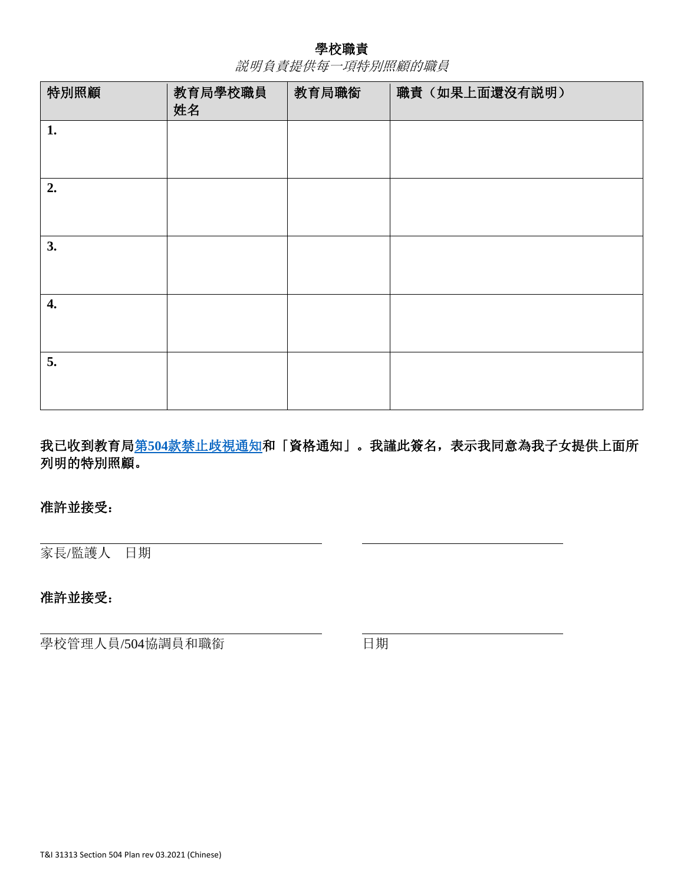## 學校職責

説明負責提供每一項特別照顧的職員

| 特別照顧 | 教育局學校職員<br>姓名 | 教育局職銜 | 職責(如果上面還沒有説明) |
|------|---------------|-------|---------------|
| 1.   |               |       |               |
| 2.   |               |       |               |
| 3.   |               |       |               |
| 4.   |               |       |               |
| 5.   |               |       |               |

我已收到教育局第504[款禁止歧視通知和](https://cdn-blob-prd.azureedge.net/prd-pws/docs/default-source/default-document-library/notice-of-non-discrimination-under-504---accessible.pdf?sfvrsn=9ae3dab4_2)「資格通知」。我謹此簽名,表示我同意為我子女提供上面所 列明的特別照顧。

# 准許並接受:

家長/監護人 日期

# 准許並接受:

學校管理人員/504協調員和職銜 日期